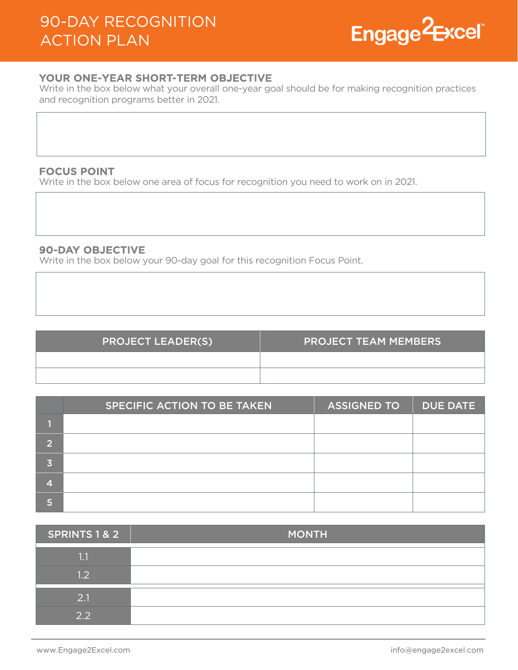

# YOUR ONE-YEAR SHORT-TERM OBJECTIVE

Write in the box below what your overall one-year goal should be for making recognition practices and recognition programs better in 2021.

## FOCUS POINT

Write in the box below one area of focus for recognition you need to work on in 2021.

# 90-DAY OBJECTIVE

Write in the box below your 90-day goal for this recognition Focus Point.

| <b>PROJECT LEADER(S)</b> | <b>PROJECT TEAM MEMBERS</b> |
|--------------------------|-----------------------------|
|                          |                             |
|                          |                             |

|                | SPECIFIC ACTION TO BE TAKEN | <b>ASSIGNED TO</b> | <b>DUE DATE</b> |
|----------------|-----------------------------|--------------------|-----------------|
|                |                             |                    |                 |
| $\overline{2}$ |                             |                    |                 |
| 3              |                             |                    |                 |
| ZT.            |                             |                    |                 |
| 5              |                             |                    |                 |

| <b>SPRINTS 1 &amp; 2</b> | <b>MONTH</b> |
|--------------------------|--------------|
| 1.1                      |              |
| 1.2                      |              |
| 2.1                      |              |
| $\sqrt{2}$               |              |